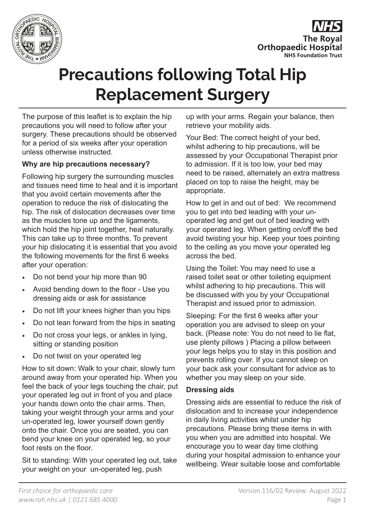



# **Precautions following Total Hip Replacement Surgery**

The purpose of this leaflet is to explain the hip precautions you will need to follow after your surgery. These precautions should be observed for a period of six weeks after your operation unless otherwise instructed.

## **Why are hip precautions necessary?**

Following hip surgery the surrounding muscles and tissues need time to heal and it is important that you avoid certain movements after the operation to reduce the risk of dislocating the hip. The risk of dislocation decreases over time as the muscles tone up and the ligaments, which hold the hip joint together, heal naturally. This can take up to three months. To prevent your hip dislocating it is essential that you avoid the following movements for the first 6 weeks after your operation:

- Do not bend your hip more than 90
- Avoid bending down to the floor Use you dressing aids or ask for assistance
- Do not lift your knees higher than you hips
- Do not lean forward from the hips in seating
- Do not cross your legs, or ankles in lying, sitting or standing position
- Do not twist on your operated leg

How to sit down: Walk to your chair, slowly turn around away from your operated hip. When you feel the back of your legs touching the chair, put your operated leg out in front of you and place your hands down onto the chair arms. Then, taking your weight through your arms and your un-operated leg, lower yourself down gently onto the chair. Once you are seated, you can bend your knee on your operated leg, so your foot rests on the floor.

Sit to standing: With your operated leg out, take your weight on your un-operated leg, push

up with your arms. Regain your balance, then retrieve your mobility aids.

Your Bed: The correct height of your bed, whilst adhering to hip precautions, will be assessed by your Occupational Therapist prior to admission. If it is too low, your bed may need to be raised, alternately an extra mattress placed on top to raise the height, may be appropriate.

How to get in and out of bed: We recommend you to get into bed leading with your unoperated leg and get out of bed leading with your operated leg. When getting on/off the bed avoid twisting your hip. Keep your toes pointing to the ceiling as you move your operated leg across the bed.

Using the Toilet: You may need to use a raised toilet seat or other toileting equipment whilst adhering to hip precautions. This will be discussed with you by your Occupational Therapist and issued prior to admission.

Sleeping: For the first 6 weeks after your operation you are advised to sleep on your back. (Please note: You do not need to lie flat, use plenty pillows ) Placing a pillow between your legs helps you to stay in this position and prevents rolling over. If you cannot sleep on your back ask your consultant for advice as to whether you may sleep on your side.

#### **Dressing aids**

Dressing aids are essential to reduce the risk of dislocation and to increase your independence in daily living activities whilst under hip precautions. Please bring these items in with you when you are admitted into hospital. We encourage you to wear day time clothing during your hospital admission to enhance your wellbeing. Wear suitable loose and comfortable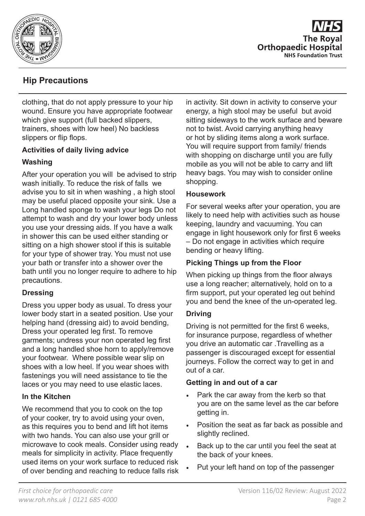

**The Roval Orthopaedic Hospital NHS Foundation Trust** 

# **Hip Precautions**

clothing, that do not apply pressure to your hip wound. Ensure you have appropriate footwear which give support (full backed slippers, trainers, shoes with low heel) No backless slippers or flip flops.

## **Activities of daily living advice**

## **Washing**

After your operation you will be advised to strip wash initially. To reduce the risk of falls we advise you to sit in when washing , a high stool may be useful placed opposite your sink. Use a Long handled sponge to wash your legs Do not attempt to wash and dry your lower body unless you use your dressing aids. If you have a walk in shower this can be used either standing or sitting on a high shower stool if this is suitable for your type of shower tray. You must not use your bath or transfer into a shower over the bath until you no longer require to adhere to hip precautions.

## **Dressing**

Dress you upper body as usual. To dress your lower body start in a seated position. Use your helping hand (dressing aid) to avoid bending, Dress your operated leg first. To remove garments; undress your non operated leg first and a long handled shoe horn to apply/remove your footwear. Where possible wear slip on shoes with a low heel. If you wear shoes with fastenings you will need assistance to tie the laces or you may need to use elastic laces.

## **In the Kitchen**

We recommend that you to cook on the top of your cooker, try to avoid using your oven, as this requires you to bend and lift hot items with two hands. You can also use your grill or microwave to cook meals. Consider using ready meals for simplicity in activity. Place frequently used items on your work surface to reduced risk of over bending and reaching to reduce falls risk in activity. Sit down in activity to conserve your energy, a high stool may be useful but avoid sitting sideways to the work surface and beware not to twist. Avoid carrying anything heavy or hot by sliding items along a work surface. You will require support from family/ friends with shopping on discharge until you are fully mobile as you will not be able to carry and lift heavy bags. You may wish to consider online shopping.

## **Housework**

For several weeks after your operation, you are likely to need help with activities such as house keeping, laundry and vacuuming. You can engage in light housework only for first 6 weeks – Do not engage in activities which require bending or heavy lifting.

## **Picking Things up from the Floor**

When picking up things from the floor always use a long reacher; alternatively, hold on to a firm support, put your operated leg out behind you and bend the knee of the un-operated leg.

## **Driving**

Driving is not permitted for the first 6 weeks, for insurance purpose, regardless of whether you drive an automatic car .Travelling as a passenger is discouraged except for essential journeys. Follow the correct way to get in and out of a car.

## **Getting in and out of a car**

- Park the car away from the kerb so that you are on the same level as the car before getting in.
- Position the seat as far back as possible and slightly reclined.
- Back up to the car until you feel the seat at the back of your knees.
- Put your left hand on top of the passenger